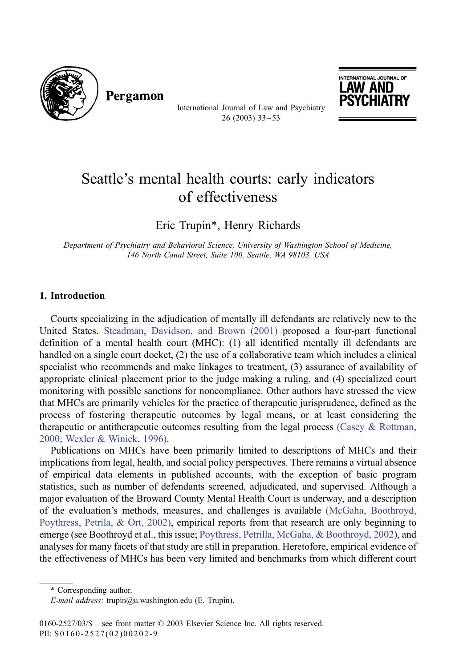

Pergamon

International Journal of Law and Psychiatry  $26(2003)$  33-53



# Seattle's mental health courts: early indicators of effectiveness

Eric Trupin\*, Henry Richards

Department of Psychiatry and Behavioral Science, University of Washington School of Medicine, 146 North Canal Street, Suite 100, Seattle, WA 98103, USA

# 1. Introduction

Courts specializing in the adjudication of mentally ill defendants are relatively new to the United States. [Steadman, Davidson, and Brown \(2001\)](#page-20-0) proposed a four-part functional definition of a mental health court (MHC): (1) all identified mentally ill defendants are handled on a single court docket, (2) the use of a collaborative team which includes a clinical specialist who recommends and make linkages to treatment, (3) assurance of availability of appropriate clinical placement prior to the judge making a ruling, and (4) specialized court monitoring with possible sanctions for noncompliance. Other authors have stressed the view that MHCs are primarily vehicles for the practice of therapeutic jurisprudence, defined as the process of fostering therapeutic outcomes by legal means, or at least considering the therapeutic or antitherapeutic outcomes resulting from the legal process [\(Casey & Rottman,](#page-19-0) 2000; Wexler & Winick, 1996).

Publications on MHCs have been primarily limited to descriptions of MHCs and their implications from legal, health, and social policy perspectives. There remains a virtual absence of empirical data elements in published accounts, with the exception of basic program statistics, such as number of defendants screened, adjudicated, and supervised. Although a major evaluation of the Broward County Mental Health Court is underway, and a description of the evaluation's methods, measures, and challenges is available [\(McGaha, Boothroyd,](#page-20-0) Poythress, Petrila, & Ort, 2002), empirical reports from that research are only beginning to emerge (see Boothroyd et al., this issue; [Poythress, Petrilla, McGaha, & Boothroyd, 2002\)](#page-20-0), and analyses for many facets of that study are still in preparation. Heretofore, empirical evidence of the effectiveness of MHCs has been very limited and benchmarks from which different court

<sup>\*</sup> Corresponding author.

E-mail address: trupin@u.washington.edu (E. Trupin).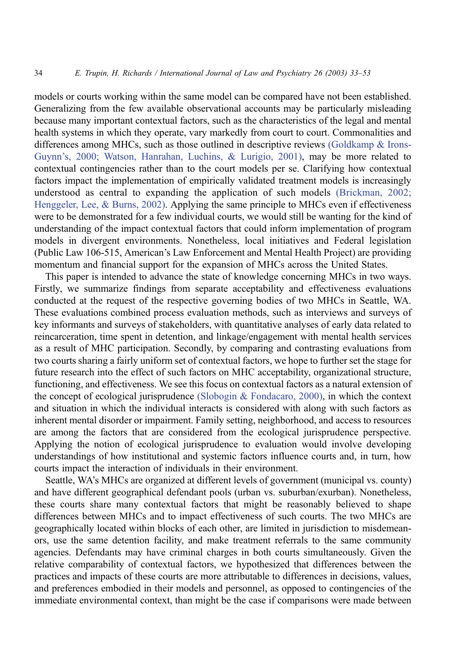models or courts working within the same model can be compared have not been established. Generalizing from the few available observational accounts may be particularly misleading because many important contextual factors, such as the characteristics of the legal and mental health systems in which they operate, vary markedly from court to court. Commonalities and differences among MHCs, such as those outlined in descriptive reviews [\(Goldkamp & Irons-](#page-19-0)Guynn's, 2000; Watson, Hanrahan, Luchins, & Lurigio, 2001), may be more related to contextual contingencies rather than to the court models per se. Clarifying how contextual factors impact the implementation of empirically validated treatment models is increasingly understood as central to expanding the application of such models [\(Brickman, 2002;](#page-19-0) Henggeler, Lee, & Burns, 2002). Applying the same principle to MHCs even if effectiveness were to be demonstrated for a few individual courts, we would still be wanting for the kind of understanding of the impact contextual factors that could inform implementation of program models in divergent environments. Nonetheless, local initiatives and Federal legislation (Public Law 106-515, American's Law Enforcement and Mental Health Project) are providing momentum and financial support for the expansion of MHCs across the United States.

This paper is intended to advance the state of knowledge concerning MHCs in two ways. Firstly, we summarize findings from separate acceptability and effectiveness evaluations conducted at the request of the respective governing bodies of two MHCs in Seattle, WA. These evaluations combined process evaluation methods, such as interviews and surveys of key informants and surveys of stakeholders, with quantitative analyses of early data related to reincarceration, time spent in detention, and linkage/engagement with mental health services as a result of MHC participation. Secondly, by comparing and contrasting evaluations from two courts sharing a fairly uniform set of contextual factors, we hope to further set the stage for future research into the effect of such factors on MHC acceptability, organizational structure, functioning, and effectiveness. We see this focus on contextual factors as a natural extension of the concept of ecological jurisprudence (Slobogin  $\&$  Fondacaro, 2000), in which the context and situation in which the individual interacts is considered with along with such factors as inherent mental disorder or impairment. Family setting, neighborhood, and access to resources are among the factors that are considered from the ecological jurisprudence perspective. Applying the notion of ecological jurisprudence to evaluation would involve developing understandings of how institutional and systemic factors influence courts and, in turn, how courts impact the interaction of individuals in their environment.

Seattle, WA's MHCs are organized at different levels of government (municipal vs. county) and have different geographical defendant pools (urban vs. suburban/exurban). Nonetheless, these courts share many contextual factors that might be reasonably believed to shape differences between MHCs and to impact effectiveness of such courts. The two MHCs are geographically located within blocks of each other, are limited in jurisdiction to misdemeanors, use the same detention facility, and make treatment referrals to the same community agencies. Defendants may have criminal charges in both courts simultaneously. Given the relative comparability of contextual factors, we hypothesized that differences between the practices and impacts of these courts are more attributable to differences in decisions, values, and preferences embodied in their models and personnel, as opposed to contingencies of the immediate environmental context, than might be the case if comparisons were made between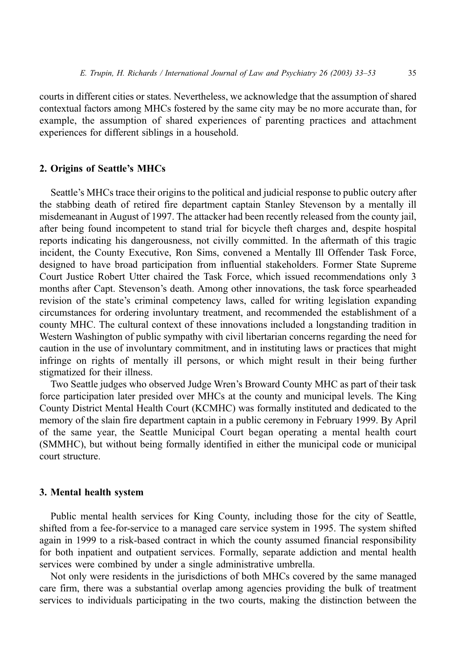courts in different cities or states. Nevertheless, we acknowledge that the assumption of shared contextual factors among MHCs fostered by the same city may be no more accurate than, for example, the assumption of shared experiences of parenting practices and attachment experiences for different siblings in a household.

#### 2. Origins of Seattle's MHCs

Seattle's MHCs trace their origins to the political and judicial response to public outcry after the stabbing death of retired fire department captain Stanley Stevenson by a mentally ill misdemeanant in August of 1997. The attacker had been recently released from the county jail, after being found incompetent to stand trial for bicycle theft charges and, despite hospital reports indicating his dangerousness, not civilly committed. In the aftermath of this tragic incident, the County Executive, Ron Sims, convened a Mentally Ill Offender Task Force, designed to have broad participation from influential stakeholders. Former State Supreme Court Justice Robert Utter chaired the Task Force, which issued recommendations only 3 months after Capt. Stevenson's death. Among other innovations, the task force spearheaded revision of the state's criminal competency laws, called for writing legislation expanding circumstances for ordering involuntary treatment, and recommended the establishment of a county MHC. The cultural context of these innovations included a longstanding tradition in Western Washington of public sympathy with civil libertarian concerns regarding the need for caution in the use of involuntary commitment, and in instituting laws or practices that might infringe on rights of mentally ill persons, or which might result in their being further stigmatized for their illness.

Two Seattle judges who observed Judge Wren's Broward County MHC as part of their task force participation later presided over MHCs at the county and municipal levels. The King County District Mental Health Court (KCMHC) was formally instituted and dedicated to the memory of the slain fire department captain in a public ceremony in February 1999. By April of the same year, the Seattle Municipal Court began operating a mental health court (SMMHC), but without being formally identified in either the municipal code or municipal court structure.

#### 3. Mental health system

Public mental health services for King County, including those for the city of Seattle, shifted from a fee-for-service to a managed care service system in 1995. The system shifted again in 1999 to a risk-based contract in which the county assumed financial responsibility for both inpatient and outpatient services. Formally, separate addiction and mental health services were combined by under a single administrative umbrella.

Not only were residents in the jurisdictions of both MHCs covered by the same managed care firm, there was a substantial overlap among agencies providing the bulk of treatment services to individuals participating in the two courts, making the distinction between the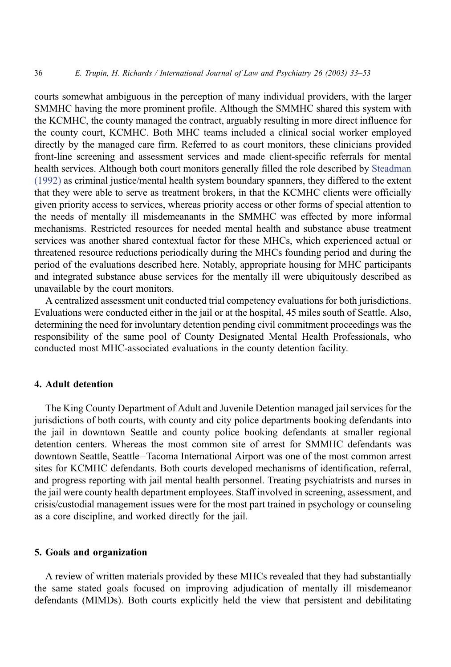courts somewhat ambiguous in the perception of many individual providers, with the larger SMMHC having the more prominent profile. Although the SMMHC shared this system with the KCMHC, the county managed the contract, arguably resulting in more direct influence for the county court, KCMHC. Both MHC teams included a clinical social worker employed directly by the managed care firm. Referred to as court monitors, these clinicians provided front-line screening and assessment services and made client-specific referrals for mental health services. Although both court monitors generally filled the role described by [Steadman](#page-20-0) (1992) as criminal justice/mental health system boundary spanners, they differed to the extent that they were able to serve as treatment brokers, in that the KCMHC clients were officially given priority access to services, whereas priority access or other forms of special attention to the needs of mentally ill misdemeanants in the SMMHC was effected by more informal mechanisms. Restricted resources for needed mental health and substance abuse treatment services was another shared contextual factor for these MHCs, which experienced actual or threatened resource reductions periodically during the MHCs founding period and during the period of the evaluations described here. Notably, appropriate housing for MHC participants and integrated substance abuse services for the mentally ill were ubiquitously described as unavailable by the court monitors.

A centralized assessment unit conducted trial competency evaluations for both jurisdictions. Evaluations were conducted either in the jail or at the hospital, 45 miles south of Seattle. Also, determining the need for involuntary detention pending civil commitment proceedings was the responsibility of the same pool of County Designated Mental Health Professionals, who conducted most MHC-associated evaluations in the county detention facility.

# 4. Adult detention

The King County Department of Adult and Juvenile Detention managed jail services for the jurisdictions of both courts, with county and city police departments booking defendants into the jail in downtown Seattle and county police booking defendants at smaller regional detention centers. Whereas the most common site of arrest for SMMHC defendants was downtown Seattle, Seattle–Tacoma International Airport was one of the most common arrest sites for KCMHC defendants. Both courts developed mechanisms of identification, referral, and progress reporting with jail mental health personnel. Treating psychiatrists and nurses in the jail were county health department employees. Staff involved in screening, assessment, and crisis/custodial management issues were for the most part trained in psychology or counseling as a core discipline, and worked directly for the jail.

## 5. Goals and organization

A review of written materials provided by these MHCs revealed that they had substantially the same stated goals focused on improving adjudication of mentally ill misdemeanor defendants (MIMDs). Both courts explicitly held the view that persistent and debilitating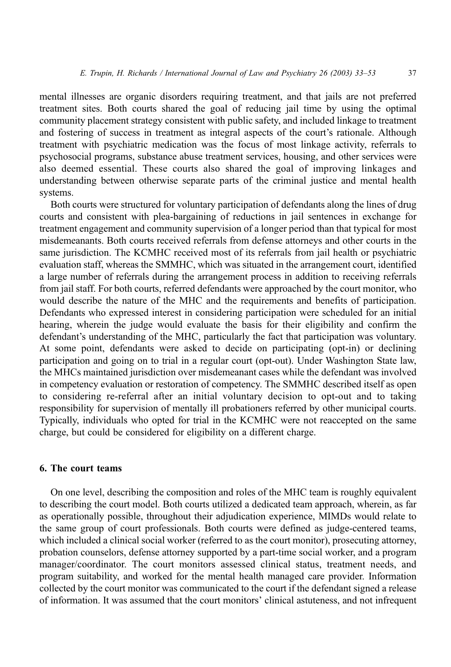mental illnesses are organic disorders requiring treatment, and that jails are not preferred treatment sites. Both courts shared the goal of reducing jail time by using the optimal community placement strategy consistent with public safety, and included linkage to treatment and fostering of success in treatment as integral aspects of the court's rationale. Although treatment with psychiatric medication was the focus of most linkage activity, referrals to psychosocial programs, substance abuse treatment services, housing, and other services were also deemed essential. These courts also shared the goal of improving linkages and understanding between otherwise separate parts of the criminal justice and mental health systems.

Both courts were structured for voluntary participation of defendants along the lines of drug courts and consistent with plea-bargaining of reductions in jail sentences in exchange for treatment engagement and community supervision of a longer period than that typical for most misdemeanants. Both courts received referrals from defense attorneys and other courts in the same jurisdiction. The KCMHC received most of its referrals from jail health or psychiatric evaluation staff, whereas the SMMHC, which was situated in the arrangement court, identified a large number of referrals during the arrangement process in addition to receiving referrals from jail staff. For both courts, referred defendants were approached by the court monitor, who would describe the nature of the MHC and the requirements and benefits of participation. Defendants who expressed interest in considering participation were scheduled for an initial hearing, wherein the judge would evaluate the basis for their eligibility and confirm the defendant's understanding of the MHC, particularly the fact that participation was voluntary. At some point, defendants were asked to decide on participating (opt-in) or declining participation and going on to trial in a regular court (opt-out). Under Washington State law, the MHCs maintained jurisdiction over misdemeanant cases while the defendant was involved in competency evaluation or restoration of competency. The SMMHC described itself as open to considering re-referral after an initial voluntary decision to opt-out and to taking responsibility for supervision of mentally ill probationers referred by other municipal courts. Typically, individuals who opted for trial in the KCMHC were not reaccepted on the same charge, but could be considered for eligibility on a different charge.

# 6. The court teams

On one level, describing the composition and roles of the MHC team is roughly equivalent to describing the court model. Both courts utilized a dedicated team approach, wherein, as far as operationally possible, throughout their adjudication experience, MIMDs would relate to the same group of court professionals. Both courts were defined as judge-centered teams, which included a clinical social worker (referred to as the court monitor), prosecuting attorney, probation counselors, defense attorney supported by a part-time social worker, and a program manager/coordinator. The court monitors assessed clinical status, treatment needs, and program suitability, and worked for the mental health managed care provider. Information collected by the court monitor was communicated to the court if the defendant signed a release of information. It was assumed that the court monitors' clinical astuteness, and not infrequent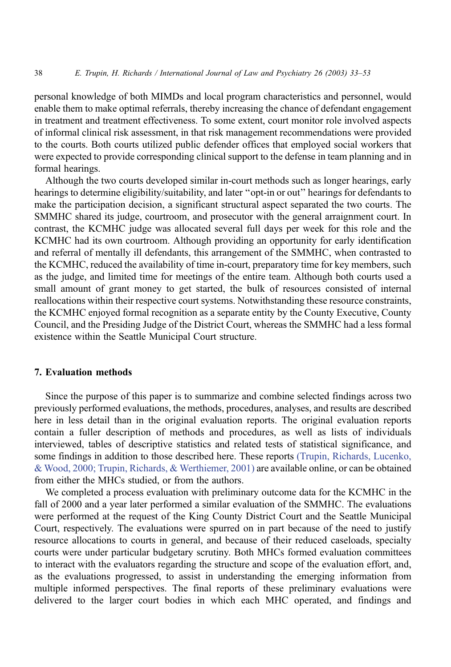personal knowledge of both MIMDs and local program characteristics and personnel, would enable them to make optimal referrals, thereby increasing the chance of defendant engagement in treatment and treatment effectiveness. To some extent, court monitor role involved aspects of informal clinical risk assessment, in that risk management recommendations were provided to the courts. Both courts utilized public defender offices that employed social workers that were expected to provide corresponding clinical support to the defense in team planning and in formal hearings.

Although the two courts developed similar in-court methods such as longer hearings, early hearings to determine eligibility/suitability, and later ''opt-in or out'' hearings for defendants to make the participation decision, a significant structural aspect separated the two courts. The SMMHC shared its judge, courtroom, and prosecutor with the general arraignment court. In contrast, the KCMHC judge was allocated several full days per week for this role and the KCMHC had its own courtroom. Although providing an opportunity for early identification and referral of mentally ill defendants, this arrangement of the SMMHC, when contrasted to the KCMHC, reduced the availability of time in-court, preparatory time for key members, such as the judge, and limited time for meetings of the entire team. Although both courts used a small amount of grant money to get started, the bulk of resources consisted of internal reallocations within their respective court systems. Notwithstanding these resource constraints, the KCMHC enjoyed formal recognition as a separate entity by the County Executive, County Council, and the Presiding Judge of the District Court, whereas the SMMHC had a less formal existence within the Seattle Municipal Court structure.

# 7. Evaluation methods

Since the purpose of this paper is to summarize and combine selected findings across two previously performed evaluations, the methods, procedures, analyses, and results are described here in less detail than in the original evaluation reports. The original evaluation reports contain a fuller description of methods and procedures, as well as lists of individuals interviewed, tables of descriptive statistics and related tests of statistical significance, and some findings in addition to those described here. These reports [\(Trupin, Richards, Lucenko,](#page-20-0) & Wood, 2000; Trupin, Richards, & Werthiemer, 2001) are available online, or can be obtained from either the MHCs studied, or from the authors.

We completed a process evaluation with preliminary outcome data for the KCMHC in the fall of 2000 and a year later performed a similar evaluation of the SMMHC. The evaluations were performed at the request of the King County District Court and the Seattle Municipal Court, respectively. The evaluations were spurred on in part because of the need to justify resource allocations to courts in general, and because of their reduced caseloads, specialty courts were under particular budgetary scrutiny. Both MHCs formed evaluation committees to interact with the evaluators regarding the structure and scope of the evaluation effort, and, as the evaluations progressed, to assist in understanding the emerging information from multiple informed perspectives. The final reports of these preliminary evaluations were delivered to the larger court bodies in which each MHC operated, and findings and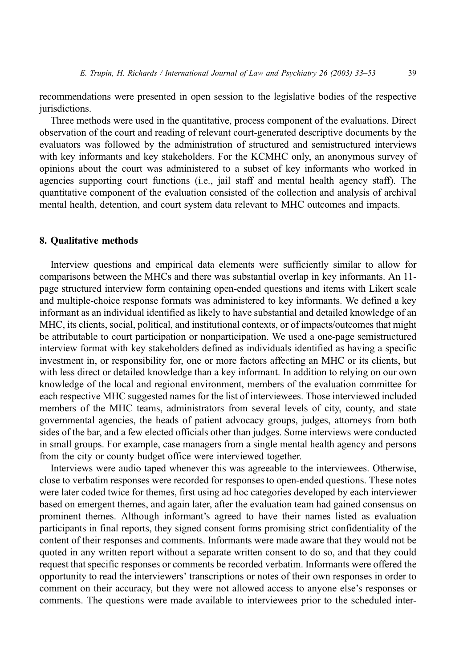recommendations were presented in open session to the legislative bodies of the respective jurisdictions.

Three methods were used in the quantitative, process component of the evaluations. Direct observation of the court and reading of relevant court-generated descriptive documents by the evaluators was followed by the administration of structured and semistructured interviews with key informants and key stakeholders. For the KCMHC only, an anonymous survey of opinions about the court was administered to a subset of key informants who worked in agencies supporting court functions (i.e., jail staff and mental health agency staff). The quantitative component of the evaluation consisted of the collection and analysis of archival mental health, detention, and court system data relevant to MHC outcomes and impacts.

# 8. Qualitative methods

Interview questions and empirical data elements were sufficiently similar to allow for comparisons between the MHCs and there was substantial overlap in key informants. An 11 page structured interview form containing open-ended questions and items with Likert scale and multiple-choice response formats was administered to key informants. We defined a key informant as an individual identified as likely to have substantial and detailed knowledge of an MHC, its clients, social, political, and institutional contexts, or of impacts/outcomes that might be attributable to court participation or nonparticipation. We used a one-page semistructured interview format with key stakeholders defined as individuals identified as having a specific investment in, or responsibility for, one or more factors affecting an MHC or its clients, but with less direct or detailed knowledge than a key informant. In addition to relying on our own knowledge of the local and regional environment, members of the evaluation committee for each respective MHC suggested names for the list of interviewees. Those interviewed included members of the MHC teams, administrators from several levels of city, county, and state governmental agencies, the heads of patient advocacy groups, judges, attorneys from both sides of the bar, and a few elected officials other than judges. Some interviews were conducted in small groups. For example, case managers from a single mental health agency and persons from the city or county budget office were interviewed together.

Interviews were audio taped whenever this was agreeable to the interviewees. Otherwise, close to verbatim responses were recorded for responses to open-ended questions. These notes were later coded twice for themes, first using ad hoc categories developed by each interviewer based on emergent themes, and again later, after the evaluation team had gained consensus on prominent themes. Although informant's agreed to have their names listed as evaluation participants in final reports, they signed consent forms promising strict confidentiality of the content of their responses and comments. Informants were made aware that they would not be quoted in any written report without a separate written consent to do so, and that they could request that specific responses or comments be recorded verbatim. Informants were offered the opportunity to read the interviewers' transcriptions or notes of their own responses in order to comment on their accuracy, but they were not allowed access to anyone else's responses or comments. The questions were made available to interviewees prior to the scheduled inter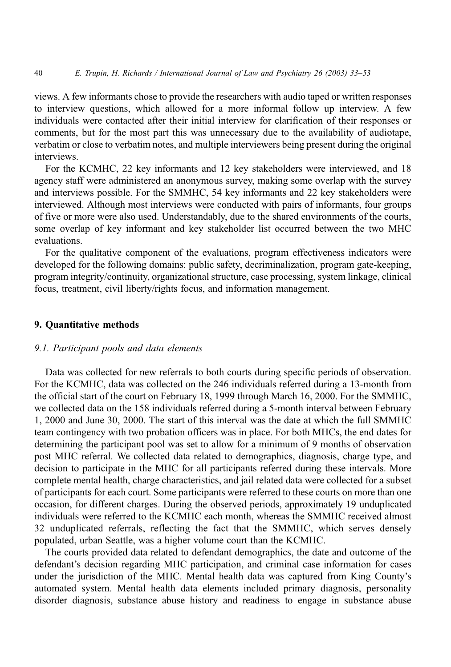views. A few informants chose to provide the researchers with audio taped or written responses to interview questions, which allowed for a more informal follow up interview. A few individuals were contacted after their initial interview for clarification of their responses or comments, but for the most part this was unnecessary due to the availability of audiotape, verbatim or close to verbatim notes, and multiple interviewers being present during the original interviews.

For the KCMHC, 22 key informants and 12 key stakeholders were interviewed, and 18 agency staff were administered an anonymous survey, making some overlap with the survey and interviews possible. For the SMMHC, 54 key informants and 22 key stakeholders were interviewed. Although most interviews were conducted with pairs of informants, four groups of five or more were also used. Understandably, due to the shared environments of the courts, some overlap of key informant and key stakeholder list occurred between the two MHC evaluations.

For the qualitative component of the evaluations, program effectiveness indicators were developed for the following domains: public safety, decriminalization, program gate-keeping, program integrity/continuity, organizational structure, case processing, system linkage, clinical focus, treatment, civil liberty/rights focus, and information management.

#### 9. Quantitative methods

#### 9.1. Participant pools and data elements

Data was collected for new referrals to both courts during specific periods of observation. For the KCMHC, data was collected on the 246 individuals referred during a 13-month from the official start of the court on February 18, 1999 through March 16, 2000. For the SMMHC, we collected data on the 158 individuals referred during a 5-month interval between February 1, 2000 and June 30, 2000. The start of this interval was the date at which the full SMMHC team contingency with two probation officers was in place. For both MHCs, the end dates for determining the participant pool was set to allow for a minimum of 9 months of observation post MHC referral. We collected data related to demographics, diagnosis, charge type, and decision to participate in the MHC for all participants referred during these intervals. More complete mental health, charge characteristics, and jail related data were collected for a subset of participants for each court. Some participants were referred to these courts on more than one occasion, for different charges. During the observed periods, approximately 19 unduplicated individuals were referred to the KCMHC each month, whereas the SMMHC received almost 32 unduplicated referrals, reflecting the fact that the SMMHC, which serves densely populated, urban Seattle, was a higher volume court than the KCMHC.

The courts provided data related to defendant demographics, the date and outcome of the defendant's decision regarding MHC participation, and criminal case information for cases under the jurisdiction of the MHC. Mental health data was captured from King County's automated system. Mental health data elements included primary diagnosis, personality disorder diagnosis, substance abuse history and readiness to engage in substance abuse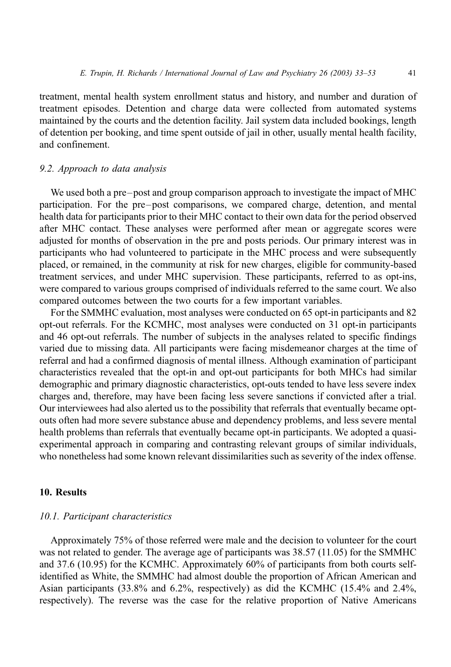treatment, mental health system enrollment status and history, and number and duration of treatment episodes. Detention and charge data were collected from automated systems maintained by the courts and the detention facility. Jail system data included bookings, length of detention per booking, and time spent outside of jail in other, usually mental health facility, and confinement.

#### 9.2. Approach to data analysis

We used both a pre–post and group comparison approach to investigate the impact of MHC participation. For the pre–post comparisons, we compared charge, detention, and mental health data for participants prior to their MHC contact to their own data for the period observed after MHC contact. These analyses were performed after mean or aggregate scores were adjusted for months of observation in the pre and posts periods. Our primary interest was in participants who had volunteered to participate in the MHC process and were subsequently placed, or remained, in the community at risk for new charges, eligible for community-based treatment services, and under MHC supervision. These participants, referred to as opt-ins, were compared to various groups comprised of individuals referred to the same court. We also compared outcomes between the two courts for a few important variables.

For the SMMHC evaluation, most analyses were conducted on 65 opt-in participants and 82 opt-out referrals. For the KCMHC, most analyses were conducted on 31 opt-in participants and 46 opt-out referrals. The number of subjects in the analyses related to specific findings varied due to missing data. All participants were facing misdemeanor charges at the time of referral and had a confirmed diagnosis of mental illness. Although examination of participant characteristics revealed that the opt-in and opt-out participants for both MHCs had similar demographic and primary diagnostic characteristics, opt-outs tended to have less severe index charges and, therefore, may have been facing less severe sanctions if convicted after a trial. Our interviewees had also alerted us to the possibility that referrals that eventually became optouts often had more severe substance abuse and dependency problems, and less severe mental health problems than referrals that eventually became opt-in participants. We adopted a quasiexperimental approach in comparing and contrasting relevant groups of similar individuals, who nonetheless had some known relevant dissimilarities such as severity of the index offense.

#### 10. Results

#### 10.1. Participant characteristics

Approximately 75% of those referred were male and the decision to volunteer for the court was not related to gender. The average age of participants was  $38.57$  (11.05) for the SMMHC and 37.6 (10.95) for the KCMHC. Approximately 60% of participants from both courts selfidentified as White, the SMMHC had almost double the proportion of African American and Asian participants (33.8% and 6.2%, respectively) as did the KCMHC (15.4% and 2.4%, respectively). The reverse was the case for the relative proportion of Native Americans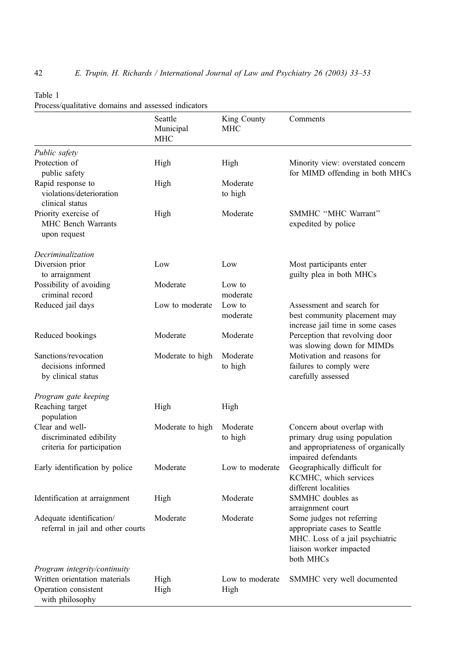# <span id="page-9-0"></span>Table 1

|                                                                          | Seattle<br>Municipal<br>MHC | King County<br>MHC      | Comments                                                                                                                             |  |
|--------------------------------------------------------------------------|-----------------------------|-------------------------|--------------------------------------------------------------------------------------------------------------------------------------|--|
| Public safety                                                            |                             |                         |                                                                                                                                      |  |
| Protection of<br>public safety                                           | High                        | High                    | Minority view: overstated concern<br>for MIMD offending in both MHCs                                                                 |  |
| Rapid response to<br>violations/deterioration<br>clinical status         | High                        | Moderate<br>to high     |                                                                                                                                      |  |
| Priority exercise of<br><b>MHC Bench Warrants</b><br>upon request        | High                        | Moderate                | SMMHC "MHC Warrant"<br>expedited by police                                                                                           |  |
| Decriminalization                                                        |                             |                         |                                                                                                                                      |  |
| Diversion prior<br>to arraignment                                        | Low                         | Low                     | Most participants enter<br>guilty plea in both MHCs                                                                                  |  |
| Possibility of avoiding<br>criminal record                               | Moderate                    | Low to<br>moderate      |                                                                                                                                      |  |
| Reduced jail days                                                        | Low to moderate             | Low to<br>moderate      | Assessment and search for<br>best community placement may<br>increase jail time in some cases                                        |  |
| Reduced bookings                                                         | Moderate                    | Moderate                | Perception that revolving door<br>was slowing down for MIMDs                                                                         |  |
| Sanctions/revocation<br>decisions informed<br>by clinical status         | Moderate to high            | Moderate<br>to high     | Motivation and reasons for<br>failures to comply were<br>carefully assessed                                                          |  |
| Program gate keeping                                                     |                             |                         |                                                                                                                                      |  |
| Reaching target<br>population                                            | High                        | High                    |                                                                                                                                      |  |
| Clear and well-<br>discriminated edibility<br>criteria for participation | Moderate to high            | Moderate<br>to high     | Concern about overlap with<br>primary drug using population<br>and appropriateness of organically<br>impaired defendants             |  |
| Early identification by police                                           | Moderate                    | Low to moderate         | Geographically difficult for<br>KCMHC, which services<br>different localities                                                        |  |
| Identification at arraignment                                            | High                        | Moderate                | SMMHC doubles as<br>arraignment court                                                                                                |  |
| Adequate identification/<br>referral in jail and other courts            | Moderate                    | Moderate                | Some judges not referring<br>appropriate cases to Seattle<br>MHC. Loss of a jail psychiatric<br>liaison worker impacted<br>both MHCs |  |
| Program integrity/continuity                                             |                             |                         |                                                                                                                                      |  |
| Written orientation materials<br>Operation consistent<br>with philosophy | High<br>High                | Low to moderate<br>High | SMMHC very well documented                                                                                                           |  |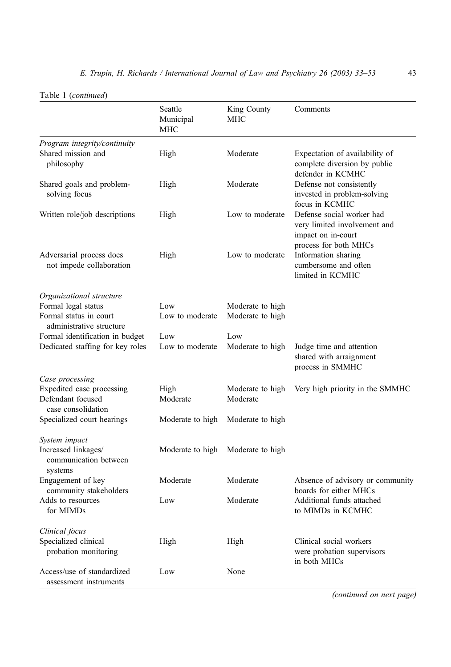Table 1 (continued)

|                                                                      | Seattle<br>Municipal<br><b>MHC</b> | King County<br>MHC           | Comments                                                                                                 |  |
|----------------------------------------------------------------------|------------------------------------|------------------------------|----------------------------------------------------------------------------------------------------------|--|
| Program integrity/continuity<br>Shared mission and<br>philosophy     | High                               | Moderate                     | Expectation of availability of<br>complete diversion by public<br>defender in KCMHC                      |  |
| Shared goals and problem-<br>solving focus                           | High                               | Moderate                     | Defense not consistently<br>invested in problem-solving<br>focus in KCMHC                                |  |
| Written role/job descriptions                                        | High                               | Low to moderate              | Defense social worker had<br>very limited involvement and<br>impact on in-court<br>process for both MHCs |  |
| Adversarial process does<br>not impede collaboration                 | High                               | Low to moderate              | Information sharing<br>cumbersome and often<br>limited in KCMHC                                          |  |
| Organizational structure                                             |                                    |                              |                                                                                                          |  |
| Formal legal status                                                  | Low                                | Moderate to high             |                                                                                                          |  |
| Formal status in court<br>administrative structure                   | Low to moderate                    | Moderate to high             |                                                                                                          |  |
| Formal identification in budget                                      | Low                                | Low                          |                                                                                                          |  |
| Dedicated staffing for key roles                                     | Low to moderate                    | Moderate to high             | Judge time and attention<br>shared with arraignment<br>process in SMMHC                                  |  |
| Case processing                                                      |                                    |                              |                                                                                                          |  |
| Expedited case processing<br>Defendant focused<br>case consolidation | High<br>Moderate                   | Moderate to high<br>Moderate | Very high priority in the SMMHC                                                                          |  |
| Specialized court hearings                                           | Moderate to high                   | Moderate to high             |                                                                                                          |  |
| System impact                                                        |                                    |                              |                                                                                                          |  |
| Increased linkages/<br>communication between<br>systems              | Moderate to high                   | Moderate to high             |                                                                                                          |  |
| Engagement of key<br>community stakeholders                          | Moderate                           | Moderate                     | Absence of advisory or community<br>boards for either MHCs                                               |  |
| Adds to resources<br>for MIMDs                                       | Low                                | Moderate                     | Additional funds attached<br>to MIMDs in KCMHC                                                           |  |
| Clinical focus                                                       |                                    |                              |                                                                                                          |  |
| Specialized clinical<br>probation monitoring                         | High                               | High                         | Clinical social workers<br>were probation supervisors<br>in both MHCs                                    |  |
| Access/use of standardized<br>assessment instruments                 | Low                                | None                         |                                                                                                          |  |

(continued on next page)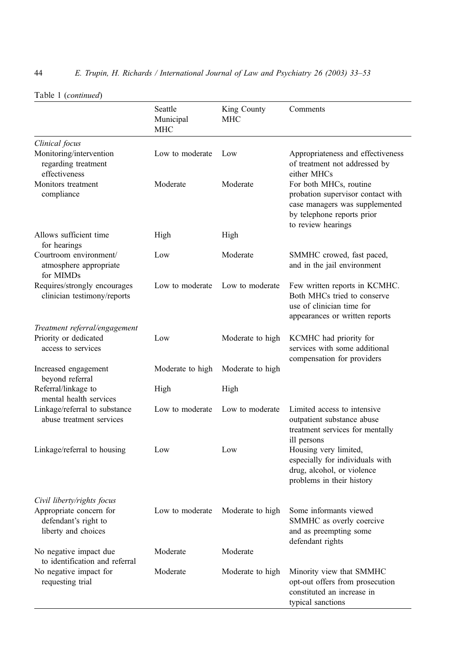# 44 E. Trupin, H. Richards / International Journal of Law and Psychiatry 26 (2003) 33–53

# Table 1 (continued)

|                                                                        | Seattle<br>Municipal<br><b>MHC</b> | King County<br>MHC | Comments                                                                                                                                          |
|------------------------------------------------------------------------|------------------------------------|--------------------|---------------------------------------------------------------------------------------------------------------------------------------------------|
| Clinical focus                                                         |                                    |                    |                                                                                                                                                   |
| Monitoring/intervention<br>regarding treatment<br>effectiveness        | Low to moderate                    | Low                | Appropriateness and effectiveness<br>of treatment not addressed by<br>either MHCs                                                                 |
| Monitors treatment<br>compliance                                       | Moderate                           | Moderate           | For both MHCs, routine<br>probation supervisor contact with<br>case managers was supplemented<br>by telephone reports prior<br>to review hearings |
| Allows sufficient time<br>for hearings                                 | High                               | High               |                                                                                                                                                   |
| Courtroom environment/<br>atmosphere appropriate<br>for MIMDs          | Low                                | Moderate           | SMMHC crowed, fast paced,<br>and in the jail environment                                                                                          |
| Requires/strongly encourages<br>clinician testimony/reports            | Low to moderate                    | Low to moderate    | Few written reports in KCMHC.<br>Both MHCs tried to conserve<br>use of clinician time for<br>appearances or written reports                       |
| Treatment referral/engagement                                          |                                    |                    |                                                                                                                                                   |
| Priority or dedicated<br>access to services                            | Low                                | Moderate to high   | KCMHC had priority for<br>services with some additional<br>compensation for providers                                                             |
| Increased engagement<br>beyond referral                                | Moderate to high                   | Moderate to high   |                                                                                                                                                   |
| Referral/linkage to<br>mental health services                          | High                               | High               |                                                                                                                                                   |
| Linkage/referral to substance<br>abuse treatment services              | Low to moderate                    | Low to moderate    | Limited access to intensive<br>outpatient substance abuse<br>treatment services for mentally<br>ill persons                                       |
| Linkage/referral to housing                                            | Low                                | Low                | Housing very limited,<br>especially for individuals with<br>drug, alcohol, or violence<br>problems in their history                               |
| Civil liberty/rights focus                                             |                                    |                    |                                                                                                                                                   |
| Appropriate concern for<br>defendant's right to<br>liberty and choices | Low to moderate                    | Moderate to high   | Some informants viewed<br>SMMHC as overly coercive<br>and as preempting some<br>defendant rights                                                  |
| No negative impact due<br>to identification and referral               | Moderate                           | Moderate           |                                                                                                                                                   |
| No negative impact for<br>requesting trial                             | Moderate                           | Moderate to high   | Minority view that SMMHC<br>opt-out offers from prosecution<br>constituted an increase in<br>typical sanctions                                    |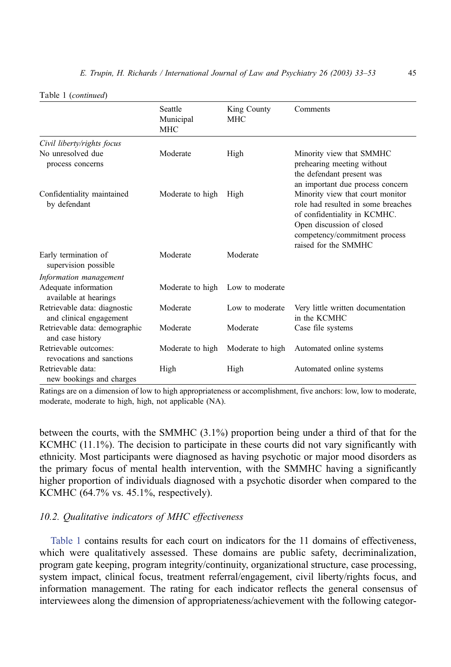Table 1 (continued)

|                                                         | Seattle<br>Municipal<br><b>MHC</b> | King County<br>MHC | Comments                                                                                                                                                                                     |
|---------------------------------------------------------|------------------------------------|--------------------|----------------------------------------------------------------------------------------------------------------------------------------------------------------------------------------------|
| Civil liberty/rights focus                              |                                    |                    |                                                                                                                                                                                              |
| No unresolved due<br>process concerns                   | Moderate                           | High               | Minority view that SMMHC<br>prehearing meeting without<br>the defendant present was<br>an important due process concern                                                                      |
| Confidentiality maintained<br>by defendant              | Moderate to high                   | High               | Minority view that court monitor<br>role had resulted in some breaches<br>of confidentiality in KCMHC.<br>Open discussion of closed<br>competency/commitment process<br>raised for the SMMHC |
| Early termination of<br>supervision possible            | Moderate                           | Moderate           |                                                                                                                                                                                              |
| Information management                                  |                                    |                    |                                                                                                                                                                                              |
| Adequate information<br>available at hearings           | Moderate to high                   | Low to moderate    |                                                                                                                                                                                              |
| Retrievable data: diagnostic<br>and clinical engagement | Moderate                           | Low to moderate    | Very little written documentation<br>in the KCMHC                                                                                                                                            |
| Retrievable data: demographic<br>and case history       | Moderate                           | Moderate           | Case file systems                                                                                                                                                                            |
| Retrievable outcomes:<br>revocations and sanctions      | Moderate to high                   | Moderate to high   | Automated online systems                                                                                                                                                                     |
| Retrievable data:<br>new bookings and charges           | High                               | High               | Automated online systems                                                                                                                                                                     |

Ratings are on a dimension of low to high appropriateness or accomplishment, five anchors: low, low to moderate, moderate, moderate to high, high, not applicable (NA).

between the courts, with the SMMHC (3.1%) proportion being under a third of that for the KCMHC (11.1%). The decision to participate in these courts did not vary significantly with ethnicity. Most participants were diagnosed as having psychotic or major mood disorders as the primary focus of mental health intervention, with the SMMHC having a significantly higher proportion of individuals diagnosed with a psychotic disorder when compared to the KCMHC (64.7% vs. 45.1%, respectively).

# 10.2. Qualitative indicators of MHC effectiveness

[Table 1](#page-9-0) contains results for each court on indicators for the 11 domains of effectiveness, which were qualitatively assessed. These domains are public safety, decriminalization, program gate keeping, program integrity/continuity, organizational structure, case processing, system impact, clinical focus, treatment referral/engagement, civil liberty/rights focus, and information management. The rating for each indicator reflects the general consensus of interviewees along the dimension of appropriateness/achievement with the following categor-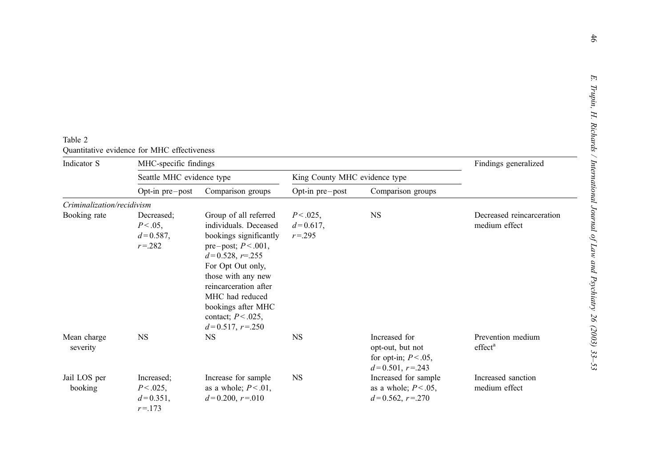<span id="page-13-0"></span>

| Table 2                                     |  |
|---------------------------------------------|--|
| Quantitative evidence for MHC effectiveness |  |

| Indicator S                |                                                        | MHC-specific findings                                                                                                                                                                                                                                                              |                                            |                                                                                   |                                            |
|----------------------------|--------------------------------------------------------|------------------------------------------------------------------------------------------------------------------------------------------------------------------------------------------------------------------------------------------------------------------------------------|--------------------------------------------|-----------------------------------------------------------------------------------|--------------------------------------------|
|                            | Seattle MHC evidence type                              |                                                                                                                                                                                                                                                                                    | King County MHC evidence type              |                                                                                   |                                            |
|                            | Opt-in $pre-post$                                      | Comparison groups                                                                                                                                                                                                                                                                  | Opt-in $pre-post$                          | Comparison groups                                                                 |                                            |
| Criminalization/recidivism |                                                        |                                                                                                                                                                                                                                                                                    |                                            |                                                                                   |                                            |
| Booking rate               | Decreased:<br>$P < .05$ ,<br>$d=0.587$ ,<br>$r = 282$  | Group of all referred<br>individuals. Deceased<br>bookings significantly<br>pre-post; $P < .001$ ,<br>$d=0.528, r=.255$<br>For Opt Out only,<br>those with any new<br>reincarceration after<br>MHC had reduced<br>bookings after MHC<br>contact; $P < .025$ ,<br>$d=0.517, r=.250$ | $P < .025$ ,<br>$d = 0.617$ ,<br>$r = 295$ | <b>NS</b>                                                                         | Decreased reincarceration<br>medium effect |
| Mean charge<br>severity    | <b>NS</b>                                              | <b>NS</b>                                                                                                                                                                                                                                                                          | <b>NS</b>                                  | Increased for<br>opt-out, but not<br>for opt-in; $P < .05$ ,<br>$d=0.501, r=.243$ | Prevention medium<br>effect <sup>a</sup>   |
| Jail LOS per<br>booking    | Increased:<br>$P < .025$ ,<br>$d=0.351$ ,<br>$r = 173$ | Increase for sample<br>as a whole; $P < 0.01$ ,<br>$d=0.200, r=.010$                                                                                                                                                                                                               | <b>NS</b>                                  | Increased for sample<br>as a whole; $P < .05$ ,<br>$d=0.562, r=.270$              | Increased sanction<br>medium effect        |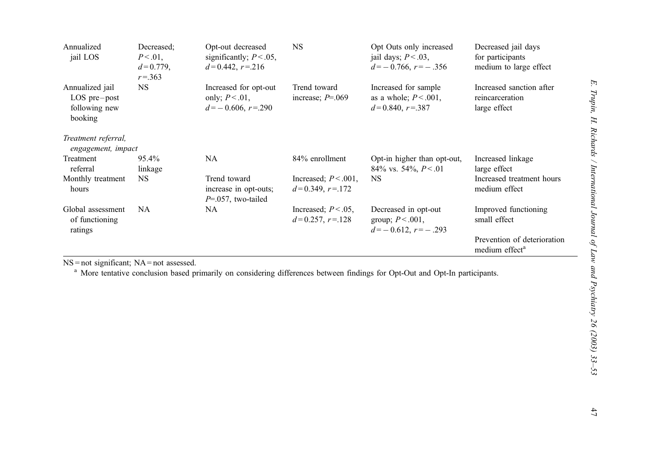| Annualized<br>jail LOS                                        | Decreased:<br>$P < .01$ ,<br>$d=0.779$ ,<br>$r = 363$ | Opt-out decreased<br>significantly; $P < .05$ ,<br>$d=0.442, r=.216$      | NS.                                            | Opt Outs only increased<br>jail days; $P < .03$ ,<br>$d = -0.766$ , $r = -0.356$ | Decreased jail days<br>for participants<br>medium to large effect |
|---------------------------------------------------------------|-------------------------------------------------------|---------------------------------------------------------------------------|------------------------------------------------|----------------------------------------------------------------------------------|-------------------------------------------------------------------|
| Annualized jail<br>$LOS pre-post$<br>following new<br>booking | <b>NS</b>                                             | Increased for opt-out<br>only; $P < 0.01$ ,<br>$d = -0.606$ , $r = 0.290$ | Trend toward<br>increase; $P=.069$             | Increased for sample<br>as a whole; $P < .001$ ,<br>$d=0.840, r=.387$            | Increased sanction after<br>reincarceration<br>large effect       |
| Treatment referral,<br>engagement, impact                     |                                                       |                                                                           |                                                |                                                                                  |                                                                   |
| Treatment<br>referral                                         | 95.4%<br>linkage                                      | <b>NA</b>                                                                 | 84% enrollment                                 | Opt-in higher than opt-out,<br>84\% vs. 54\%, $P < 01$                           | Increased linkage<br>large effect                                 |
| Monthly treatment<br>hours                                    | NS.                                                   | Trend toward<br>increase in opt-outs;<br>$P=0.057$ , two-tailed           | Increased; $P < .001$ ,<br>$d=0.349, r=.172$   | NS.                                                                              | Increased treatment hours<br>medium effect                        |
| Global assessment<br>of functioning<br>ratings                | NA                                                    | NA.                                                                       | Increased: $P < .05$ ,<br>$d=0.257$ , $r=.128$ | Decreased in opt-out<br>group; $P < .001$ ,<br>$d=-0.612, r=-0.293$              | Improved functioning<br>small effect                              |
|                                                               |                                                       |                                                                           |                                                |                                                                                  | Prevention of deterioration<br>medium effect <sup>a</sup>         |

NS = not significant; NA = not assessed.<br><sup>a</sup> More tentative conclusion based primarily on considering differences between findings for Opt-Out and Opt-In participants.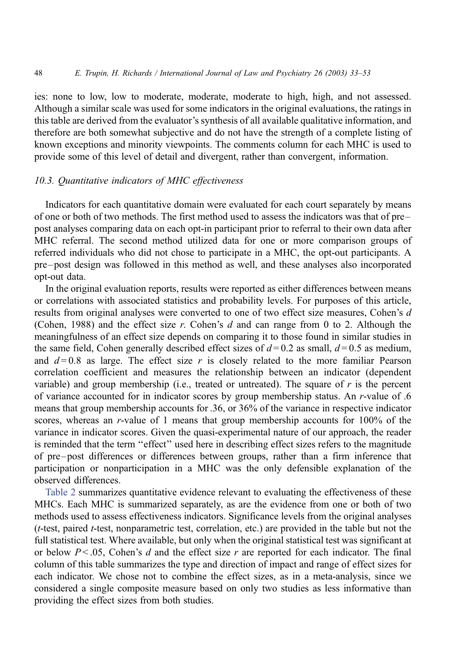ies: none to low, low to moderate, moderate, moderate to high, high, and not assessed. Although a similar scale was used for some indicators in the original evaluations, the ratings in this table are derived from the evaluator's synthesis of all available qualitative information, and therefore are both somewhat subjective and do not have the strength of a complete listing of known exceptions and minority viewpoints. The comments column for each MHC is used to provide some of this level of detail and divergent, rather than convergent, information.

#### 10.3. Quantitative indicators of MHC effectiveness

Indicators for each quantitative domain were evaluated for each court separately by means of one or both of two methods. The first method used to assess the indicators was that of pre– post analyses comparing data on each opt-in participant prior to referral to their own data after MHC referral. The second method utilized data for one or more comparison groups of referred individuals who did not chose to participate in a MHC, the opt-out participants. A pre–post design was followed in this method as well, and these analyses also incorporated opt-out data.

In the original evaluation reports, results were reported as either differences between means or correlations with associated statistics and probability levels. For purposes of this article, results from original analyses were converted to one of two effect size measures, Cohen's d (Cohen, 1988) and the effect size r. Cohen's  $d$  and can range from 0 to 2. Although the meaningfulness of an effect size depends on comparing it to those found in similar studies in the same field, Cohen generally described effect sizes of  $d = 0.2$  as small,  $d = 0.5$  as medium, and  $d=0.8$  as large. The effect size r is closely related to the more familiar Pearson correlation coefficient and measures the relationship between an indicator (dependent variable) and group membership (i.e., treated or untreated). The square of  $r$  is the percent of variance accounted for in indicator scores by group membership status. An r-value of .6 means that group membership accounts for .36, or 36% of the variance in respective indicator scores, whereas an *r*-value of 1 means that group membership accounts for 100% of the variance in indicator scores. Given the quasi-experimental nature of our approach, the reader is reminded that the term "effect" used here in describing effect sizes refers to the magnitude of pre–post differences or differences between groups, rather than a firm inference that participation or nonparticipation in a MHC was the only defensible explanation of the observed differences.

[Table 2](#page-13-0) summarizes quantitative evidence relevant to evaluating the effectiveness of these MHCs. Each MHC is summarized separately, as are the evidence from one or both of two methods used to assess effectiveness indicators. Significance levels from the original analyses (t-test, paired t-test, nonparametric test, correlation, etc.) are provided in the table but not the full statistical test. Where available, but only when the original statistical test was significant at or below  $P < 0.05$ , Cohen's d and the effect size r are reported for each indicator. The final column of this table summarizes the type and direction of impact and range of effect sizes for each indicator. We chose not to combine the effect sizes, as in a meta-analysis, since we considered a single composite measure based on only two studies as less informative than providing the effect sizes from both studies.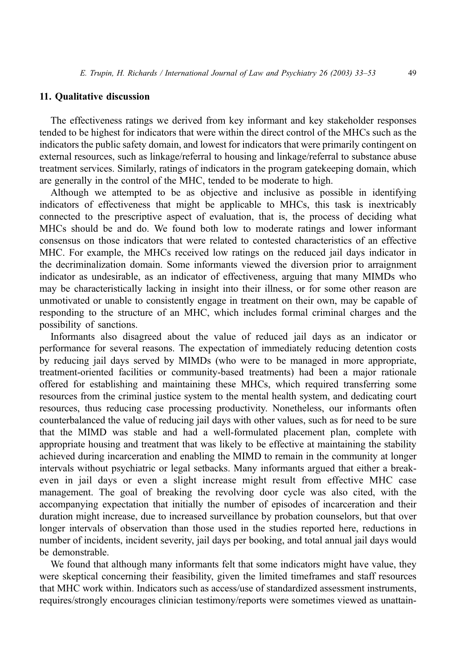# 11. Qualitative discussion

The effectiveness ratings we derived from key informant and key stakeholder responses tended to be highest for indicators that were within the direct control of the MHCs such as the indicators the public safety domain, and lowest for indicators that were primarily contingent on external resources, such as linkage/referral to housing and linkage/referral to substance abuse treatment services. Similarly, ratings of indicators in the program gatekeeping domain, which are generally in the control of the MHC, tended to be moderate to high.

Although we attempted to be as objective and inclusive as possible in identifying indicators of effectiveness that might be applicable to MHCs, this task is inextricably connected to the prescriptive aspect of evaluation, that is, the process of deciding what MHCs should be and do. We found both low to moderate ratings and lower informant consensus on those indicators that were related to contested characteristics of an effective MHC. For example, the MHCs received low ratings on the reduced jail days indicator in the decriminalization domain. Some informants viewed the diversion prior to arraignment indicator as undesirable, as an indicator of effectiveness, arguing that many MIMDs who may be characteristically lacking in insight into their illness, or for some other reason are unmotivated or unable to consistently engage in treatment on their own, may be capable of responding to the structure of an MHC, which includes formal criminal charges and the possibility of sanctions.

Informants also disagreed about the value of reduced jail days as an indicator or performance for several reasons. The expectation of immediately reducing detention costs by reducing jail days served by MIMDs (who were to be managed in more appropriate, treatment-oriented facilities or community-based treatments) had been a major rationale offered for establishing and maintaining these MHCs, which required transferring some resources from the criminal justice system to the mental health system, and dedicating court resources, thus reducing case processing productivity. Nonetheless, our informants often counterbalanced the value of reducing jail days with other values, such as for need to be sure that the MIMD was stable and had a well-formulated placement plan, complete with appropriate housing and treatment that was likely to be effective at maintaining the stability achieved during incarceration and enabling the MIMD to remain in the community at longer intervals without psychiatric or legal setbacks. Many informants argued that either a breakeven in jail days or even a slight increase might result from effective MHC case management. The goal of breaking the revolving door cycle was also cited, with the accompanying expectation that initially the number of episodes of incarceration and their duration might increase, due to increased surveillance by probation counselors, but that over longer intervals of observation than those used in the studies reported here, reductions in number of incidents, incident severity, jail days per booking, and total annual jail days would be demonstrable.

We found that although many informants felt that some indicators might have value, they were skeptical concerning their feasibility, given the limited timeframes and staff resources that MHC work within. Indicators such as access/use of standardized assessment instruments, requires/strongly encourages clinician testimony/reports were sometimes viewed as unattain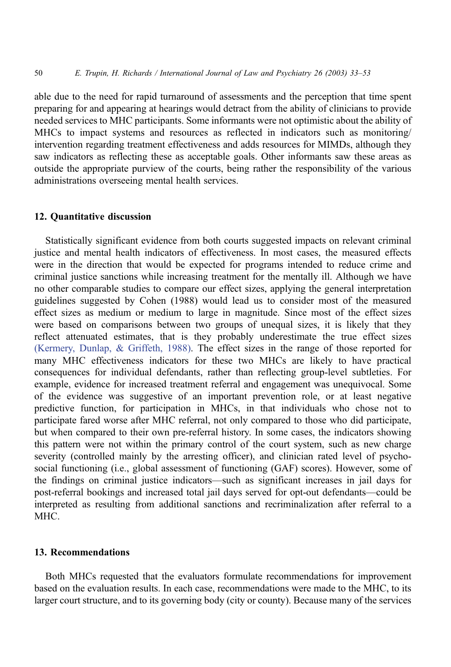able due to the need for rapid turnaround of assessments and the perception that time spent preparing for and appearing at hearings would detract from the ability of clinicians to provide needed services to MHC participants. Some informants were not optimistic about the ability of MHCs to impact systems and resources as reflected in indicators such as monitoring/ intervention regarding treatment effectiveness and adds resources for MIMDs, although they saw indicators as reflecting these as acceptable goals. Other informants saw these areas as outside the appropriate purview of the courts, being rather the responsibility of the various administrations overseeing mental health services.

# 12. Quantitative discussion

Statistically significant evidence from both courts suggested impacts on relevant criminal justice and mental health indicators of effectiveness. In most cases, the measured effects were in the direction that would be expected for programs intended to reduce crime and criminal justice sanctions while increasing treatment for the mentally ill. Although we have no other comparable studies to compare our effect sizes, applying the general interpretation guidelines suggested by Cohen (1988) would lead us to consider most of the measured effect sizes as medium or medium to large in magnitude. Since most of the effect sizes were based on comparisons between two groups of unequal sizes, it is likely that they reflect attenuated estimates, that is they probably underestimate the true effect sizes [\(Kermery, Dunlap, & Griffeth, 1988\).](#page-20-0) The effect sizes in the range of those reported for many MHC effectiveness indicators for these two MHCs are likely to have practical consequences for individual defendants, rather than reflecting group-level subtleties. For example, evidence for increased treatment referral and engagement was unequivocal. Some of the evidence was suggestive of an important prevention role, or at least negative predictive function, for participation in MHCs, in that individuals who chose not to participate fared worse after MHC referral, not only compared to those who did participate, but when compared to their own pre-referral history. In some cases, the indicators showing this pattern were not within the primary control of the court system, such as new charge severity (controlled mainly by the arresting officer), and clinician rated level of psychosocial functioning (i.e., global assessment of functioning (GAF) scores). However, some of the findings on criminal justice indicators—such as significant increases in jail days for post-referral bookings and increased total jail days served for opt-out defendants—could be interpreted as resulting from additional sanctions and recriminalization after referral to a MHC.

# 13. Recommendations

Both MHCs requested that the evaluators formulate recommendations for improvement based on the evaluation results. In each case, recommendations were made to the MHC, to its larger court structure, and to its governing body (city or county). Because many of the services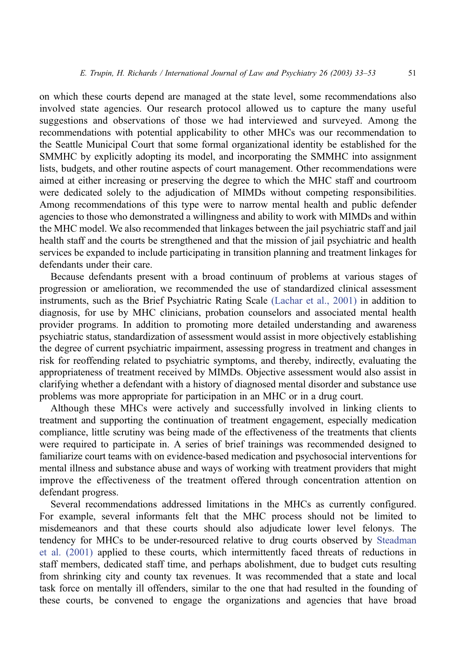on which these courts depend are managed at the state level, some recommendations also involved state agencies. Our research protocol allowed us to capture the many useful suggestions and observations of those we had interviewed and surveyed. Among the recommendations with potential applicability to other MHCs was our recommendation to the Seattle Municipal Court that some formal organizational identity be established for the SMMHC by explicitly adopting its model, and incorporating the SMMHC into assignment lists, budgets, and other routine aspects of court management. Other recommendations were aimed at either increasing or preserving the degree to which the MHC staff and courtroom were dedicated solely to the adjudication of MIMDs without competing responsibilities. Among recommendations of this type were to narrow mental health and public defender agencies to those who demonstrated a willingness and ability to work with MIMDs and within the MHC model. We also recommended that linkages between the jail psychiatric staff and jail health staff and the courts be strengthened and that the mission of jail psychiatric and health services be expanded to include participating in transition planning and treatment linkages for defendants under their care.

Because defendants present with a broad continuum of problems at various stages of progression or amelioration, we recommended the use of standardized clinical assessment instruments, such as the Brief Psychiatric Rating Scale [\(Lachar et al., 2001\)](#page-20-0) in addition to diagnosis, for use by MHC clinicians, probation counselors and associated mental health provider programs. In addition to promoting more detailed understanding and awareness psychiatric status, standardization of assessment would assist in more objectively establishing the degree of current psychiatric impairment, assessing progress in treatment and changes in risk for reoffending related to psychiatric symptoms, and thereby, indirectly, evaluating the appropriateness of treatment received by MIMDs. Objective assessment would also assist in clarifying whether a defendant with a history of diagnosed mental disorder and substance use problems was more appropriate for participation in an MHC or in a drug court.

Although these MHCs were actively and successfully involved in linking clients to treatment and supporting the continuation of treatment engagement, especially medication compliance, little scrutiny was being made of the effectiveness of the treatments that clients were required to participate in. A series of brief trainings was recommended designed to familiarize court teams with on evidence-based medication and psychosocial interventions for mental illness and substance abuse and ways of working with treatment providers that might improve the effectiveness of the treatment offered through concentration attention on defendant progress.

Several recommendations addressed limitations in the MHCs as currently configured. For example, several informants felt that the MHC process should not be limited to misdemeanors and that these courts should also adjudicate lower level felonys. The tendency for MHCs to be under-resourced relative to drug courts observed by [Steadman](#page-20-0) et al. (2001) applied to these courts, which intermittently faced threats of reductions in staff members, dedicated staff time, and perhaps abolishment, due to budget cuts resulting from shrinking city and county tax revenues. It was recommended that a state and local task force on mentally ill offenders, similar to the one that had resulted in the founding of these courts, be convened to engage the organizations and agencies that have broad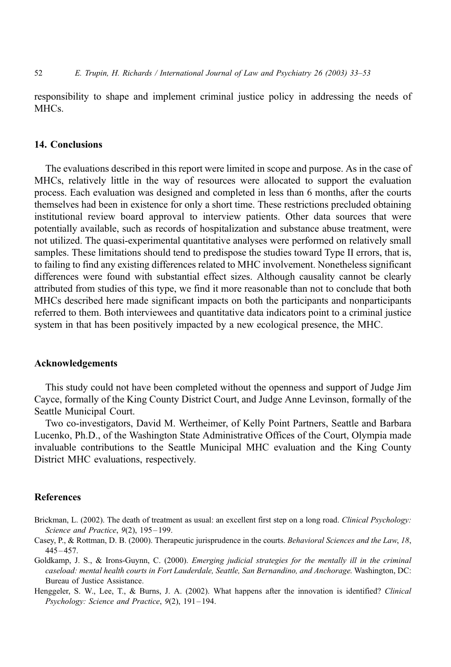<span id="page-19-0"></span>responsibility to shape and implement criminal justice policy in addressing the needs of MHCs.

#### 14. Conclusions

The evaluations described in this report were limited in scope and purpose. As in the case of MHCs, relatively little in the way of resources were allocated to support the evaluation process. Each evaluation was designed and completed in less than 6 months, after the courts themselves had been in existence for only a short time. These restrictions precluded obtaining institutional review board approval to interview patients. Other data sources that were potentially available, such as records of hospitalization and substance abuse treatment, were not utilized. The quasi-experimental quantitative analyses were performed on relatively small samples. These limitations should tend to predispose the studies toward Type II errors, that is, to failing to find any existing differences related to MHC involvement. Nonetheless significant differences were found with substantial effect sizes. Although causality cannot be clearly attributed from studies of this type, we find it more reasonable than not to conclude that both MHCs described here made significant impacts on both the participants and nonparticipants referred to them. Both interviewees and quantitative data indicators point to a criminal justice system in that has been positively impacted by a new ecological presence, the MHC.

# Acknowledgements

This study could not have been completed without the openness and support of Judge Jim Cayce, formally of the King County District Court, and Judge Anne Levinson, formally of the Seattle Municipal Court.

Two co-investigators, David M. Wertheimer, of Kelly Point Partners, Seattle and Barbara Lucenko, Ph.D., of the Washington State Administrative Offices of the Court, Olympia made invaluable contributions to the Seattle Municipal MHC evaluation and the King County District MHC evaluations, respectively.

#### References

- Brickman, L. (2002). The death of treatment as usual: an excellent first step on a long road. Clinical Psychology: Science and Practice, 9(2), 195-199.
- Casey, P., & Rottman, D. B. (2000). Therapeutic jurisprudence in the courts. Behavioral Sciences and the Law, 18, 445 – 457.
- Goldkamp, J. S., & Irons-Guynn, C. (2000). Emerging judicial strategies for the mentally ill in the criminal caseload: mental health courts in Fort Lauderdale, Seattle, San Bernandino, and Anchorage. Washington, DC: Bureau of Justice Assistance.

Henggeler, S. W., Lee, T., & Burns, J. A. (2002). What happens after the innovation is identified? Clinical Psychology: Science and Practice, 9(2), 191-194.